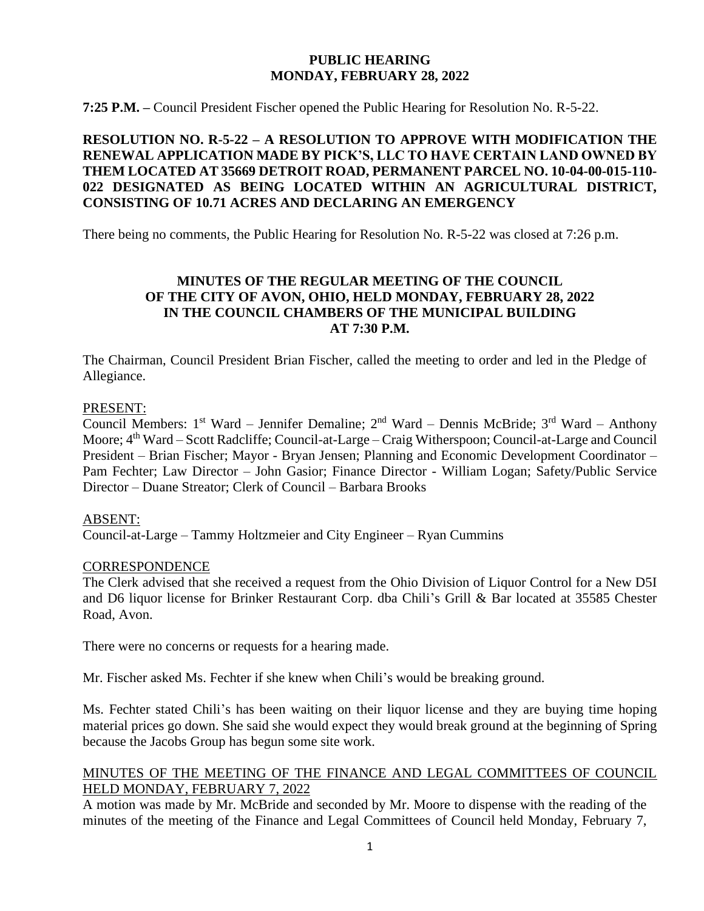## **PUBLIC HEARING MONDAY, FEBRUARY 28, 2022**

**7:25 P.M. –** Council President Fischer opened the Public Hearing for Resolution No. R-5-22.

# **RESOLUTION NO. R-5-22 – A RESOLUTION TO APPROVE WITH MODIFICATION THE RENEWAL APPLICATION MADE BY PICK'S, LLC TO HAVE CERTAIN LAND OWNED BY THEM LOCATED AT 35669 DETROIT ROAD, PERMANENT PARCEL NO. 10-04-00-015-110- 022 DESIGNATED AS BEING LOCATED WITHIN AN AGRICULTURAL DISTRICT, CONSISTING OF 10.71 ACRES AND DECLARING AN EMERGENCY**

There being no comments, the Public Hearing for Resolution No. R-5-22 was closed at 7:26 p.m.

## **MINUTES OF THE REGULAR MEETING OF THE COUNCIL OF THE CITY OF AVON, OHIO, HELD MONDAY, FEBRUARY 28, 2022 IN THE COUNCIL CHAMBERS OF THE MUNICIPAL BUILDING AT 7:30 P.M.**

The Chairman, Council President Brian Fischer, called the meeting to order and led in the Pledge of Allegiance.

#### PRESENT:

Council Members: 1<sup>st</sup> Ward – Jennifer Demaline; 2<sup>nd</sup> Ward – Dennis McBride; 3<sup>rd</sup> Ward – Anthony Moore; 4<sup>th</sup> Ward – Scott Radcliffe; Council-at-Large – Craig Witherspoon; Council-at-Large and Council President – Brian Fischer; Mayor - Bryan Jensen; Planning and Economic Development Coordinator – Pam Fechter; Law Director – John Gasior; Finance Director - William Logan; Safety/Public Service Director – Duane Streator; Clerk of Council – Barbara Brooks

#### ABSENT:

Council-at-Large – Tammy Holtzmeier and City Engineer – Ryan Cummins

#### **CORRESPONDENCE**

The Clerk advised that she received a request from the Ohio Division of Liquor Control for a New D5I and D6 liquor license for Brinker Restaurant Corp. dba Chili's Grill & Bar located at 35585 Chester Road, Avon.

There were no concerns or requests for a hearing made.

Mr. Fischer asked Ms. Fechter if she knew when Chili's would be breaking ground.

Ms. Fechter stated Chili's has been waiting on their liquor license and they are buying time hoping material prices go down. She said she would expect they would break ground at the beginning of Spring because the Jacobs Group has begun some site work.

## MINUTES OF THE MEETING OF THE FINANCE AND LEGAL COMMITTEES OF COUNCIL HELD MONDAY, FEBRUARY 7, 2022

A motion was made by Mr. McBride and seconded by Mr. Moore to dispense with the reading of the minutes of the meeting of the Finance and Legal Committees of Council held Monday, February 7,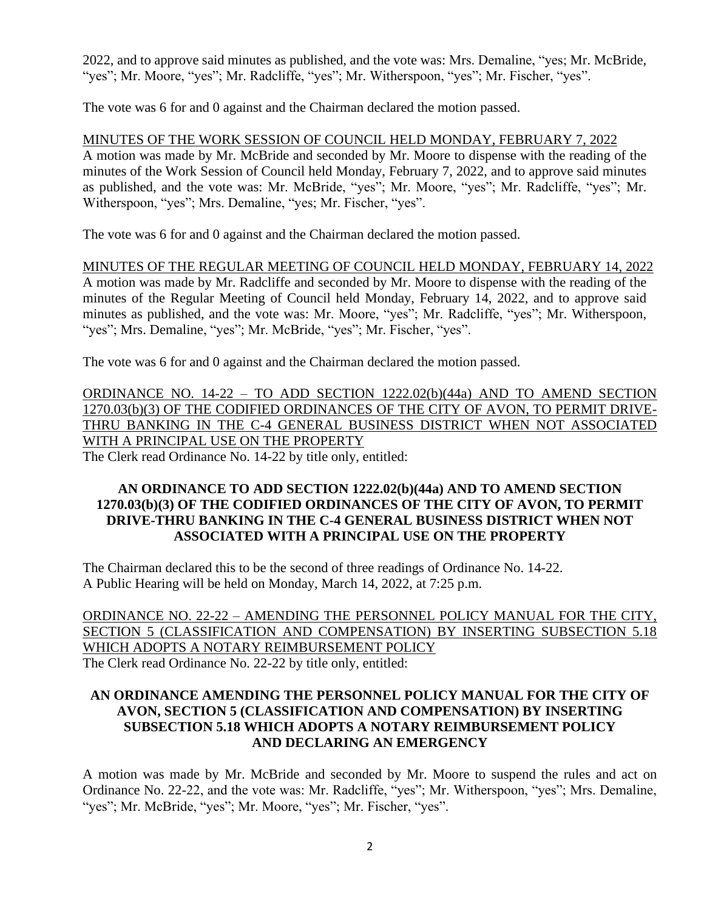2022, and to approve said minutes as published, and the vote was: Mrs. Demaline, "yes; Mr. McBride, "yes"; Mr. Moore, "yes"; Mr. Radcliffe, "yes"; Mr. Witherspoon, "yes"; Mr. Fischer, "yes".

The vote was 6 for and 0 against and the Chairman declared the motion passed.

MINUTES OF THE WORK SESSION OF COUNCIL HELD MONDAY, FEBRUARY 7, 2022 A motion was made by Mr. McBride and seconded by Mr. Moore to dispense with the reading of the minutes of the Work Session of Council held Monday, February 7, 2022, and to approve said minutes as published, and the vote was: Mr. McBride, "yes"; Mr. Moore, "yes"; Mr. Radcliffe, "yes"; Mr. Witherspoon, "yes"; Mrs. Demaline, "yes; Mr. Fischer, "yes".

The vote was 6 for and 0 against and the Chairman declared the motion passed.

MINUTES OF THE REGULAR MEETING OF COUNCIL HELD MONDAY, FEBRUARY 14, 2022 A motion was made by Mr. Radcliffe and seconded by Mr. Moore to dispense with the reading of the minutes of the Regular Meeting of Council held Monday, February 14, 2022, and to approve said minutes as published, and the vote was: Mr. Moore, "yes"; Mr. Radcliffe, "yes"; Mr. Witherspoon, "yes"; Mrs. Demaline, "yes"; Mr. McBride, "yes"; Mr. Fischer, "yes".

The vote was 6 for and 0 against and the Chairman declared the motion passed.

ORDINANCE NO. 14-22 – TO ADD SECTION 1222.02(b)(44a) AND TO AMEND SECTION 1270.03(b)(3) OF THE CODIFIED ORDINANCES OF THE CITY OF AVON, TO PERMIT DRIVE-THRU BANKING IN THE C-4 GENERAL BUSINESS DISTRICT WHEN NOT ASSOCIATED WITH A PRINCIPAL USE ON THE PROPERTY The Clerk read Ordinance No. 14-22 by title only, entitled:

### **AN ORDINANCE TO ADD SECTION 1222.02(b)(44a) AND TO AMEND SECTION 1270.03(b)(3) OF THE CODIFIED ORDINANCES OF THE CITY OF AVON, TO PERMIT DRIVE-THRU BANKING IN THE C-4 GENERAL BUSINESS DISTRICT WHEN NOT ASSOCIATED WITH A PRINCIPAL USE ON THE PROPERTY**

The Chairman declared this to be the second of three readings of Ordinance No. 14-22. A Public Hearing will be held on Monday, March 14, 2022, at 7:25 p.m.

ORDINANCE NO. 22-22 – AMENDING THE PERSONNEL POLICY MANUAL FOR THE CITY, SECTION 5 (CLASSIFICATION AND COMPENSATION) BY INSERTING SUBSECTION 5.18 WHICH ADOPTS A NOTARY REIMBURSEMENT POLICY The Clerk read Ordinance No. 22-22 by title only, entitled:

## **AN ORDINANCE AMENDING THE PERSONNEL POLICY MANUAL FOR THE CITY OF AVON, SECTION 5 (CLASSIFICATION AND COMPENSATION) BY INSERTING SUBSECTION 5.18 WHICH ADOPTS A NOTARY REIMBURSEMENT POLICY AND DECLARING AN EMERGENCY**

A motion was made by Mr. McBride and seconded by Mr. Moore to suspend the rules and act on Ordinance No. 22-22, and the vote was: Mr. Radcliffe, "yes"; Mr. Witherspoon, "yes"; Mrs. Demaline, "yes"; Mr. McBride, "yes"; Mr. Moore, "yes"; Mr. Fischer, "yes".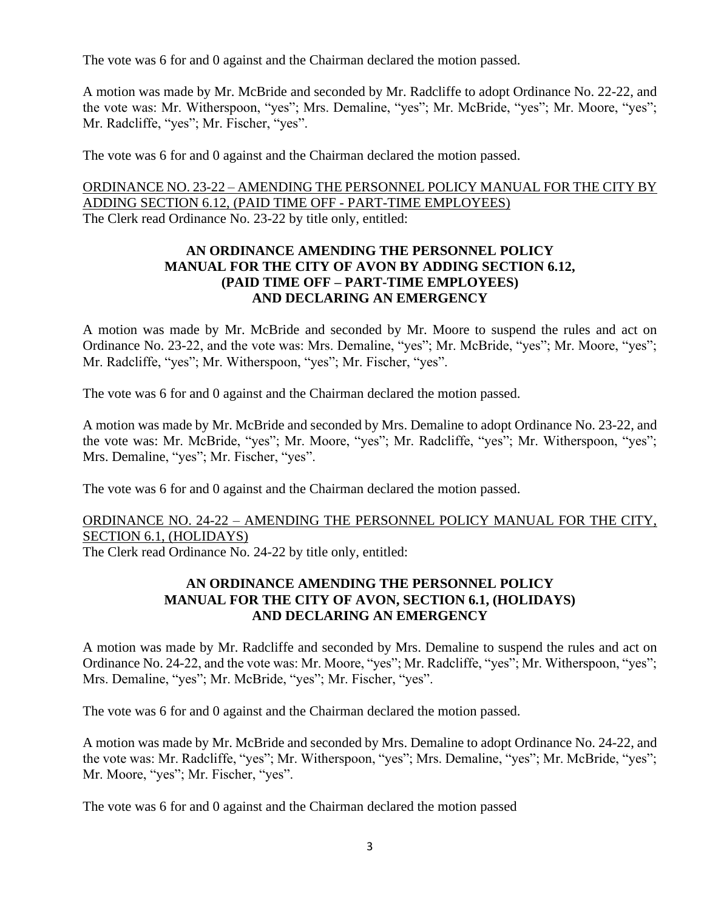The vote was 6 for and 0 against and the Chairman declared the motion passed.

A motion was made by Mr. McBride and seconded by Mr. Radcliffe to adopt Ordinance No. 22-22, and the vote was: Mr. Witherspoon, "yes"; Mrs. Demaline, "yes"; Mr. McBride, "yes"; Mr. Moore, "yes"; Mr. Radcliffe, "yes"; Mr. Fischer, "yes".

The vote was 6 for and 0 against and the Chairman declared the motion passed.

ORDINANCE NO. 23-22 – AMENDING THE PERSONNEL POLICY MANUAL FOR THE CITY BY ADDING SECTION 6.12, (PAID TIME OFF - PART-TIME EMPLOYEES) The Clerk read Ordinance No. 23-22 by title only, entitled:

## **AN ORDINANCE AMENDING THE PERSONNEL POLICY MANUAL FOR THE CITY OF AVON BY ADDING SECTION 6.12, (PAID TIME OFF – PART-TIME EMPLOYEES) AND DECLARING AN EMERGENCY**

A motion was made by Mr. McBride and seconded by Mr. Moore to suspend the rules and act on Ordinance No. 23-22, and the vote was: Mrs. Demaline, "yes"; Mr. McBride, "yes"; Mr. Moore, "yes"; Mr. Radcliffe, "yes"; Mr. Witherspoon, "yes"; Mr. Fischer, "yes".

The vote was 6 for and 0 against and the Chairman declared the motion passed.

A motion was made by Mr. McBride and seconded by Mrs. Demaline to adopt Ordinance No. 23-22, and the vote was: Mr. McBride, "yes"; Mr. Moore, "yes"; Mr. Radcliffe, "yes"; Mr. Witherspoon, "yes"; Mrs. Demaline, "yes"; Mr. Fischer, "yes".

The vote was 6 for and 0 against and the Chairman declared the motion passed.

# ORDINANCE NO. 24-22 – AMENDING THE PERSONNEL POLICY MANUAL FOR THE CITY, SECTION 6.1, (HOLIDAYS)

The Clerk read Ordinance No. 24-22 by title only, entitled:

## **AN ORDINANCE AMENDING THE PERSONNEL POLICY MANUAL FOR THE CITY OF AVON, SECTION 6.1, (HOLIDAYS) AND DECLARING AN EMERGENCY**

A motion was made by Mr. Radcliffe and seconded by Mrs. Demaline to suspend the rules and act on Ordinance No. 24-22, and the vote was: Mr. Moore, "yes"; Mr. Radcliffe, "yes"; Mr. Witherspoon, "yes"; Mrs. Demaline, "yes"; Mr. McBride, "yes"; Mr. Fischer, "yes".

The vote was 6 for and 0 against and the Chairman declared the motion passed.

A motion was made by Mr. McBride and seconded by Mrs. Demaline to adopt Ordinance No. 24-22, and the vote was: Mr. Radcliffe, "yes"; Mr. Witherspoon, "yes"; Mrs. Demaline, "yes"; Mr. McBride, "yes"; Mr. Moore, "yes"; Mr. Fischer, "yes".

The vote was 6 for and 0 against and the Chairman declared the motion passed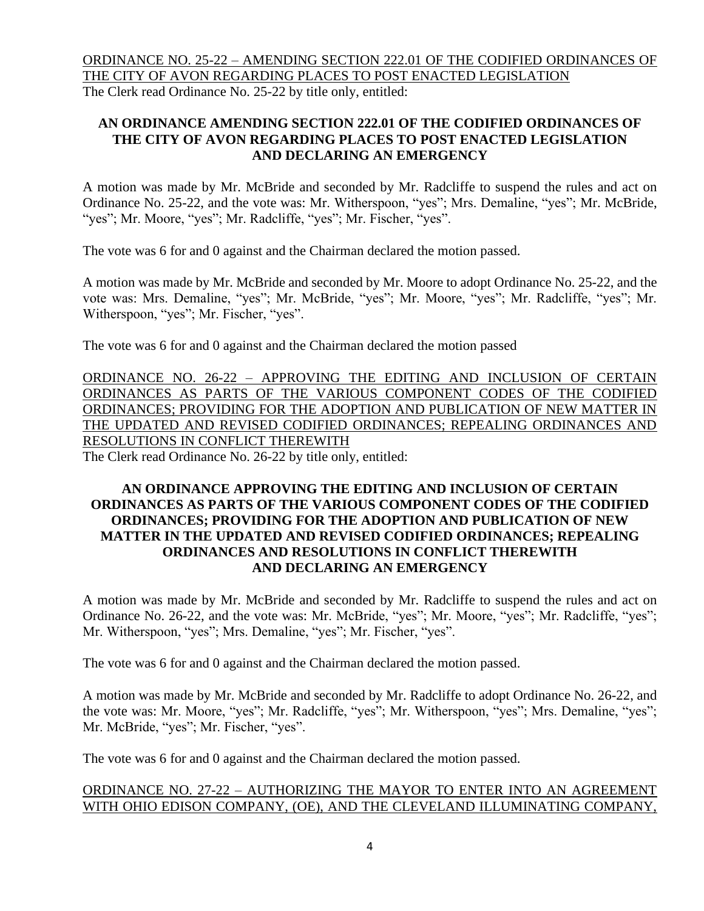ORDINANCE NO. 25-22 – AMENDING SECTION 222.01 OF THE CODIFIED ORDINANCES OF THE CITY OF AVON REGARDING PLACES TO POST ENACTED LEGISLATION

The Clerk read Ordinance No. 25-22 by title only, entitled:

# **AN ORDINANCE AMENDING SECTION 222.01 OF THE CODIFIED ORDINANCES OF THE CITY OF AVON REGARDING PLACES TO POST ENACTED LEGISLATION AND DECLARING AN EMERGENCY**

A motion was made by Mr. McBride and seconded by Mr. Radcliffe to suspend the rules and act on Ordinance No. 25-22, and the vote was: Mr. Witherspoon, "yes"; Mrs. Demaline, "yes"; Mr. McBride, "yes"; Mr. Moore, "yes"; Mr. Radcliffe, "yes"; Mr. Fischer, "yes".

The vote was 6 for and 0 against and the Chairman declared the motion passed.

A motion was made by Mr. McBride and seconded by Mr. Moore to adopt Ordinance No. 25-22, and the vote was: Mrs. Demaline, "yes"; Mr. McBride, "yes"; Mr. Moore, "yes"; Mr. Radcliffe, "yes"; Mr. Witherspoon, "yes"; Mr. Fischer, "yes".

The vote was 6 for and 0 against and the Chairman declared the motion passed

ORDINANCE NO. 26-22 – APPROVING THE EDITING AND INCLUSION OF CERTAIN ORDINANCES AS PARTS OF THE VARIOUS COMPONENT CODES OF THE CODIFIED ORDINANCES; PROVIDING FOR THE ADOPTION AND PUBLICATION OF NEW MATTER IN THE UPDATED AND REVISED CODIFIED ORDINANCES; REPEALING ORDINANCES AND RESOLUTIONS IN CONFLICT THEREWITH The Clerk read Ordinance No. 26-22 by title only, entitled:

## **AN ORDINANCE APPROVING THE EDITING AND INCLUSION OF CERTAIN ORDINANCES AS PARTS OF THE VARIOUS COMPONENT CODES OF THE CODIFIED ORDINANCES; PROVIDING FOR THE ADOPTION AND PUBLICATION OF NEW MATTER IN THE UPDATED AND REVISED CODIFIED ORDINANCES; REPEALING ORDINANCES AND RESOLUTIONS IN CONFLICT THEREWITH AND DECLARING AN EMERGENCY**

A motion was made by Mr. McBride and seconded by Mr. Radcliffe to suspend the rules and act on Ordinance No. 26-22, and the vote was: Mr. McBride, "yes"; Mr. Moore, "yes"; Mr. Radcliffe, "yes"; Mr. Witherspoon, "yes"; Mrs. Demaline, "yes"; Mr. Fischer, "yes".

The vote was 6 for and 0 against and the Chairman declared the motion passed.

A motion was made by Mr. McBride and seconded by Mr. Radcliffe to adopt Ordinance No. 26-22, and the vote was: Mr. Moore, "yes"; Mr. Radcliffe, "yes"; Mr. Witherspoon, "yes"; Mrs. Demaline, "yes"; Mr. McBride, "yes"; Mr. Fischer, "yes".

The vote was 6 for and 0 against and the Chairman declared the motion passed.

# ORDINANCE NO. 27-22 – AUTHORIZING THE MAYOR TO ENTER INTO AN AGREEMENT WITH OHIO EDISON COMPANY, (OE), AND THE CLEVELAND ILLUMINATING COMPANY,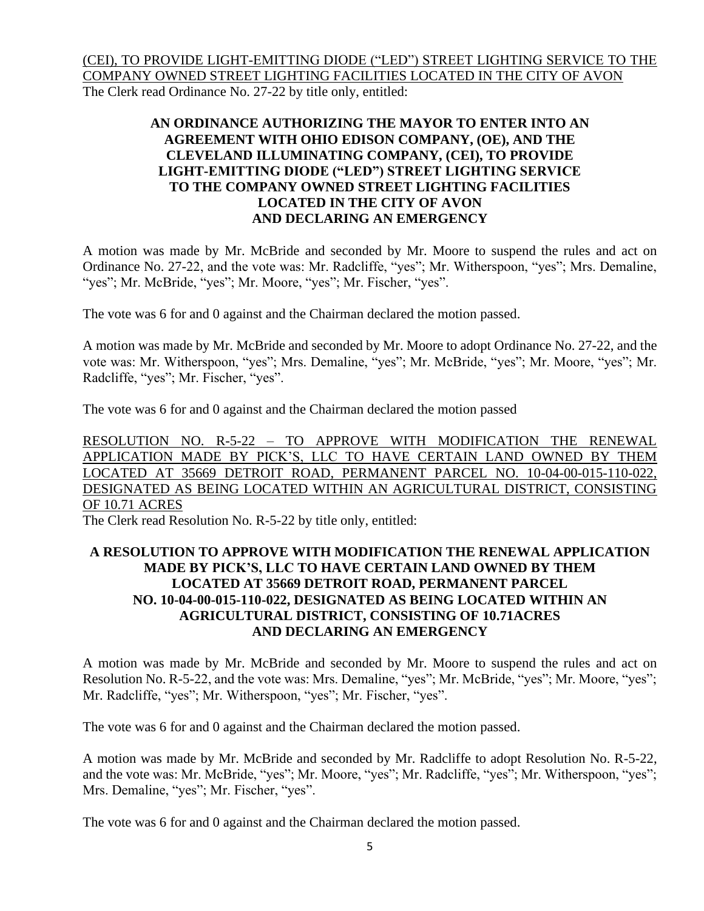(CEI), TO PROVIDE LIGHT-EMITTING DIODE ("LED") STREET LIGHTING SERVICE TO THE COMPANY OWNED STREET LIGHTING FACILITIES LOCATED IN THE CITY OF AVON The Clerk read Ordinance No. 27-22 by title only, entitled:

## **AN ORDINANCE AUTHORIZING THE MAYOR TO ENTER INTO AN AGREEMENT WITH OHIO EDISON COMPANY, (OE), AND THE CLEVELAND ILLUMINATING COMPANY, (CEI), TO PROVIDE LIGHT-EMITTING DIODE ("LED") STREET LIGHTING SERVICE TO THE COMPANY OWNED STREET LIGHTING FACILITIES LOCATED IN THE CITY OF AVON AND DECLARING AN EMERGENCY**

A motion was made by Mr. McBride and seconded by Mr. Moore to suspend the rules and act on Ordinance No. 27-22, and the vote was: Mr. Radcliffe, "yes"; Mr. Witherspoon, "yes"; Mrs. Demaline, "yes"; Mr. McBride, "yes"; Mr. Moore, "yes"; Mr. Fischer, "yes".

The vote was 6 for and 0 against and the Chairman declared the motion passed.

A motion was made by Mr. McBride and seconded by Mr. Moore to adopt Ordinance No. 27-22, and the vote was: Mr. Witherspoon, "yes"; Mrs. Demaline, "yes"; Mr. McBride, "yes"; Mr. Moore, "yes"; Mr. Radcliffe, "yes"; Mr. Fischer, "yes".

The vote was 6 for and 0 against and the Chairman declared the motion passed

RESOLUTION NO. R-5-22 – TO APPROVE WITH MODIFICATION THE RENEWAL APPLICATION MADE BY PICK'S, LLC TO HAVE CERTAIN LAND OWNED BY THEM LOCATED AT 35669 DETROIT ROAD, PERMANENT PARCEL NO. 10-04-00-015-110-022, DESIGNATED AS BEING LOCATED WITHIN AN AGRICULTURAL DISTRICT, CONSISTING OF 10.71 ACRES

The Clerk read Resolution No. R-5-22 by title only, entitled:

## **A RESOLUTION TO APPROVE WITH MODIFICATION THE RENEWAL APPLICATION MADE BY PICK'S, LLC TO HAVE CERTAIN LAND OWNED BY THEM LOCATED AT 35669 DETROIT ROAD, PERMANENT PARCEL NO. 10-04-00-015-110-022, DESIGNATED AS BEING LOCATED WITHIN AN AGRICULTURAL DISTRICT, CONSISTING OF 10.71ACRES AND DECLARING AN EMERGENCY**

A motion was made by Mr. McBride and seconded by Mr. Moore to suspend the rules and act on Resolution No. R-5-22, and the vote was: Mrs. Demaline, "yes"; Mr. McBride, "yes"; Mr. Moore, "yes"; Mr. Radcliffe, "yes"; Mr. Witherspoon, "yes"; Mr. Fischer, "yes".

The vote was 6 for and 0 against and the Chairman declared the motion passed.

A motion was made by Mr. McBride and seconded by Mr. Radcliffe to adopt Resolution No. R-5-22, and the vote was: Mr. McBride, "yes"; Mr. Moore, "yes"; Mr. Radcliffe, "yes"; Mr. Witherspoon, "yes"; Mrs. Demaline, "yes"; Mr. Fischer, "yes".

The vote was 6 for and 0 against and the Chairman declared the motion passed.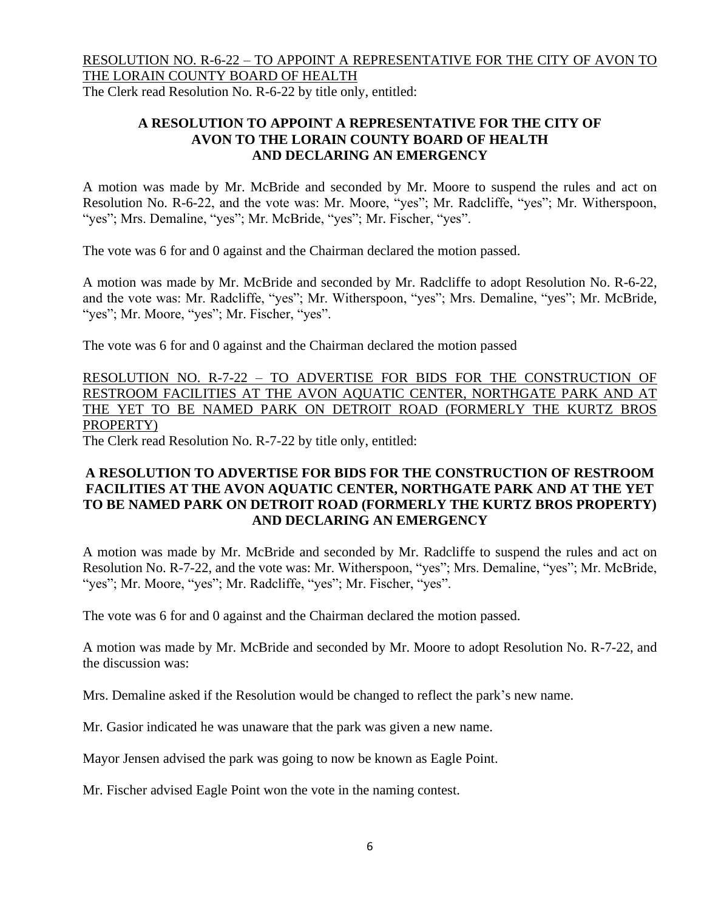# RESOLUTION NO. R-6-22 – TO APPOINT A REPRESENTATIVE FOR THE CITY OF AVON TO THE LORAIN COUNTY BOARD OF HEALTH

The Clerk read Resolution No. R-6-22 by title only, entitled:

## **A RESOLUTION TO APPOINT A REPRESENTATIVE FOR THE CITY OF AVON TO THE LORAIN COUNTY BOARD OF HEALTH AND DECLARING AN EMERGENCY**

A motion was made by Mr. McBride and seconded by Mr. Moore to suspend the rules and act on Resolution No. R-6-22, and the vote was: Mr. Moore, "yes"; Mr. Radcliffe, "yes"; Mr. Witherspoon, "yes"; Mrs. Demaline, "yes"; Mr. McBride, "yes"; Mr. Fischer, "yes".

The vote was 6 for and 0 against and the Chairman declared the motion passed.

A motion was made by Mr. McBride and seconded by Mr. Radcliffe to adopt Resolution No. R-6-22, and the vote was: Mr. Radcliffe, "yes"; Mr. Witherspoon, "yes"; Mrs. Demaline, "yes"; Mr. McBride, "yes"; Mr. Moore, "yes"; Mr. Fischer, "yes".

The vote was 6 for and 0 against and the Chairman declared the motion passed

RESOLUTION NO. R-7-22 – TO ADVERTISE FOR BIDS FOR THE CONSTRUCTION OF RESTROOM FACILITIES AT THE AVON AQUATIC CENTER, NORTHGATE PARK AND AT THE YET TO BE NAMED PARK ON DETROIT ROAD (FORMERLY THE KURTZ BROS PROPERTY)

The Clerk read Resolution No. R-7-22 by title only, entitled:

# **A RESOLUTION TO ADVERTISE FOR BIDS FOR THE CONSTRUCTION OF RESTROOM FACILITIES AT THE AVON AQUATIC CENTER, NORTHGATE PARK AND AT THE YET TO BE NAMED PARK ON DETROIT ROAD (FORMERLY THE KURTZ BROS PROPERTY) AND DECLARING AN EMERGENCY**

A motion was made by Mr. McBride and seconded by Mr. Radcliffe to suspend the rules and act on Resolution No. R-7-22, and the vote was: Mr. Witherspoon, "yes"; Mrs. Demaline, "yes"; Mr. McBride, "yes"; Mr. Moore, "yes"; Mr. Radcliffe, "yes"; Mr. Fischer, "yes".

The vote was 6 for and 0 against and the Chairman declared the motion passed.

A motion was made by Mr. McBride and seconded by Mr. Moore to adopt Resolution No. R-7-22, and the discussion was:

Mrs. Demaline asked if the Resolution would be changed to reflect the park's new name.

Mr. Gasior indicated he was unaware that the park was given a new name.

Mayor Jensen advised the park was going to now be known as Eagle Point.

Mr. Fischer advised Eagle Point won the vote in the naming contest.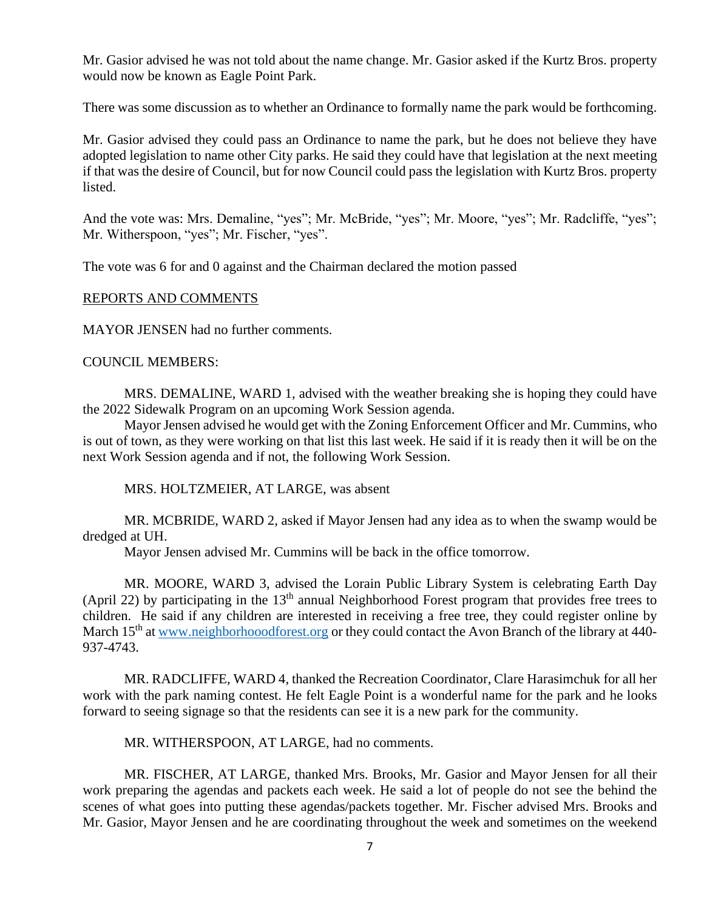Mr. Gasior advised he was not told about the name change. Mr. Gasior asked if the Kurtz Bros. property would now be known as Eagle Point Park.

There was some discussion as to whether an Ordinance to formally name the park would be forthcoming.

Mr. Gasior advised they could pass an Ordinance to name the park, but he does not believe they have adopted legislation to name other City parks. He said they could have that legislation at the next meeting if that was the desire of Council, but for now Council could pass the legislation with Kurtz Bros. property listed.

And the vote was: Mrs. Demaline, "yes"; Mr. McBride, "yes"; Mr. Moore, "yes"; Mr. Radcliffe, "yes"; Mr. Witherspoon, "yes"; Mr. Fischer, "yes".

The vote was 6 for and 0 against and the Chairman declared the motion passed

#### REPORTS AND COMMENTS

MAYOR JENSEN had no further comments.

#### COUNCIL MEMBERS:

MRS. DEMALINE, WARD 1, advised with the weather breaking she is hoping they could have the 2022 Sidewalk Program on an upcoming Work Session agenda.

Mayor Jensen advised he would get with the Zoning Enforcement Officer and Mr. Cummins, who is out of town, as they were working on that list this last week. He said if it is ready then it will be on the next Work Session agenda and if not, the following Work Session.

MRS. HOLTZMEIER, AT LARGE, was absent

MR. MCBRIDE, WARD 2, asked if Mayor Jensen had any idea as to when the swamp would be dredged at UH.

Mayor Jensen advised Mr. Cummins will be back in the office tomorrow.

MR. MOORE, WARD 3, advised the Lorain Public Library System is celebrating Earth Day (April 22) by participating in the  $13<sup>th</sup>$  annual Neighborhood Forest program that provides free trees to children. He said if any children are interested in receiving a free tree, they could register online by March 15<sup>th</sup> at [www.neighborhooodforest.org](http://www.neighborhooodforest.org/) or they could contact the Avon Branch of the library at 440-937-4743.

MR. RADCLIFFE, WARD 4, thanked the Recreation Coordinator, Clare Harasimchuk for all her work with the park naming contest. He felt Eagle Point is a wonderful name for the park and he looks forward to seeing signage so that the residents can see it is a new park for the community.

MR. WITHERSPOON, AT LARGE, had no comments.

MR. FISCHER, AT LARGE, thanked Mrs. Brooks, Mr. Gasior and Mayor Jensen for all their work preparing the agendas and packets each week. He said a lot of people do not see the behind the scenes of what goes into putting these agendas/packets together. Mr. Fischer advised Mrs. Brooks and Mr. Gasior, Mayor Jensen and he are coordinating throughout the week and sometimes on the weekend